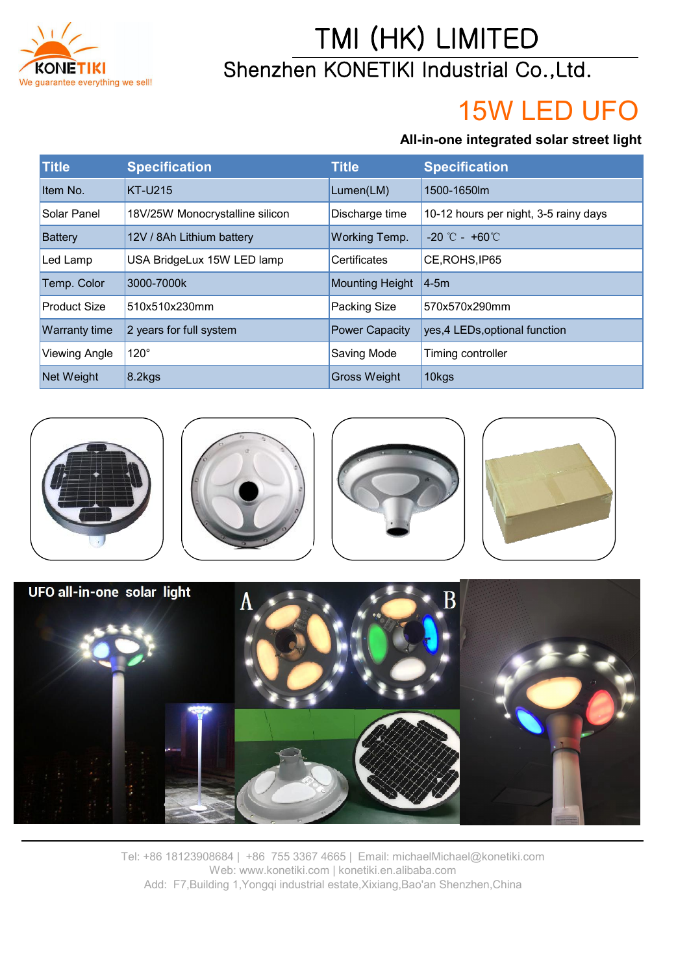

## TMI (HK) LIMITED Shenzhen KONETIKI Industrial Co.,Ltd.

# 15W LED UFO

#### **All-in-one integrated solar street light**

| <b>Title</b>         | <b>Specification</b>            | <b>Title</b>           | <b>Specification</b>                  |
|----------------------|---------------------------------|------------------------|---------------------------------------|
| Item No.             | <b>KT-U215</b>                  | Lumen(LM)              | 1500-1650m                            |
| Solar Panel          | 18V/25W Monocrystalline silicon | Discharge time         | 10-12 hours per night, 3-5 rainy days |
| <b>Battery</b>       | 12V / 8Ah Lithium battery       | Working Temp.          | $-20$ °C - $+60$ °C                   |
| Led Lamp             | USA BridgeLux 15W LED lamp      | <b>Certificates</b>    | CE, ROHS, IP65                        |
| Temp. Color          | 3000-7000k                      | <b>Mounting Height</b> | 14-5m                                 |
| <b>Product Size</b>  | 510x510x230mm                   | Packing Size           | 570x570x290mm                         |
| <b>Warranty time</b> | 2 years for full system         | <b>Power Capacity</b>  | yes, 4 LEDs, optional function        |
| <b>Viewing Angle</b> | 120°                            | Saving Mode            | Timing controller                     |
| Net Weight           | $8.2$ kgs                       | <b>Gross Weight</b>    | 10kgs                                 |





Tel: +86 18123908684 | +86 755 3367 4665 | Email: michaelMichael@konetiki.com Web: www.konetiki.com | konetiki.en.alibaba.com Add: F7,Building 1,Yongqi industrial estate,Xixiang,Bao'an Shenzhen,China